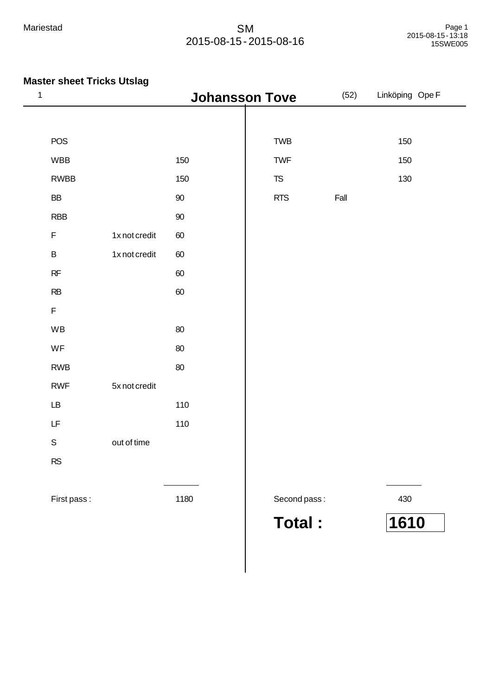| $\mathbf 1$                                                                                 |               | <b>Johansson Tove</b> |               | (52) | Linköping Ope F |
|---------------------------------------------------------------------------------------------|---------------|-----------------------|---------------|------|-----------------|
|                                                                                             |               |                       |               |      |                 |
| POS                                                                                         |               |                       | TWB           |      | 150             |
| <b>WBB</b>                                                                                  |               | 150                   | TWF           |      | 150             |
| <b>RWBB</b>                                                                                 |               | 150                   | $T\!S$        |      | 130             |
| BB                                                                                          |               | $90\,$                | <b>RTS</b>    | Fall |                 |
| <b>RBB</b>                                                                                  |               | $90\,$                |               |      |                 |
| $\mathsf F$                                                                                 | 1x not credit | $60\,$                |               |      |                 |
| $\sf B$                                                                                     | 1x not credit | $60\,$                |               |      |                 |
| $\sf RF$                                                                                    |               | $60\,$                |               |      |                 |
| $\mathsf{RB}$                                                                               |               | $60\,$                |               |      |                 |
| $\mathsf F$                                                                                 |               |                       |               |      |                 |
| WB                                                                                          |               | $80\,$                |               |      |                 |
| WF                                                                                          |               | $80\,$                |               |      |                 |
| <b>RWB</b>                                                                                  |               | $80\,$                |               |      |                 |
| <b>RWF</b>                                                                                  | 5x not credit |                       |               |      |                 |
| $\mathsf{L}\mathsf{B}$                                                                      |               | 110                   |               |      |                 |
| $\mathsf{LF}% _{0}\left( \mathcal{N}\right) \equiv\mathsf{LF}_{0}\left( \mathcal{N}\right)$ |               | 110                   |               |      |                 |
| $\mathbb S$                                                                                 | out of time   |                       |               |      |                 |
| <b>RS</b>                                                                                   |               |                       |               |      |                 |
|                                                                                             |               |                       |               |      |                 |
| First pass:                                                                                 |               | 1180                  | Second pass:  |      | 430             |
|                                                                                             |               |                       | <b>Total:</b> |      | 1610            |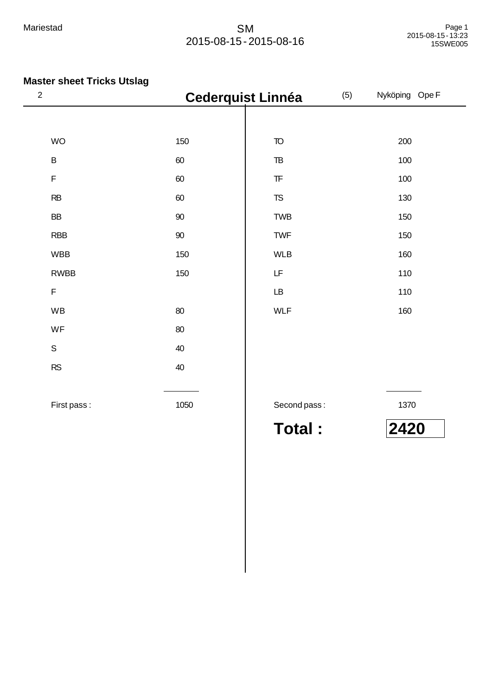| $\sqrt{2}$  |        | <b>Cederquist Linnéa</b>                                                                    | (5) | Nyköping Ope F |
|-------------|--------|---------------------------------------------------------------------------------------------|-----|----------------|
|             |        |                                                                                             |     |                |
| <b>WO</b>   | 150    | $\mathsf{T}\!\mathsf{O}$                                                                    |     | 200            |
| $\sf B$     | 60     | $\mathsf{T}\mathsf{B}$                                                                      |     | 100            |
| F           | 60     | $\ensuremath{\mathsf{T}}\ensuremath{\mathsf{F}}$                                            |     | 100            |
| RB          | 60     | ${\tt TS}$                                                                                  |     | 130            |
| BB          | 90     | <b>TWB</b>                                                                                  |     | 150            |
| <b>RBB</b>  | $90\,$ | TWF                                                                                         |     | 150            |
| <b>WBB</b>  | 150    | <b>WLB</b>                                                                                  |     | 160            |
| <b>RWBB</b> | 150    | $\mathsf{LF}% _{0}\left( \mathcal{N}\right) \equiv\mathsf{LF}_{0}\left( \mathcal{N}\right)$ |     | 110            |
| F           |        | LB                                                                                          |     | 110            |
| WB          | 80     | <b>WLF</b>                                                                                  |     | 160            |
| WF          | 80     |                                                                                             |     |                |
| $\mathsf S$ | 40     |                                                                                             |     |                |
| RS          | 40     |                                                                                             |     |                |
|             |        |                                                                                             |     |                |
| First pass: | 1050   | Second pass:                                                                                |     | 1370           |
|             |        | <b>Total:</b>                                                                               |     | 2420           |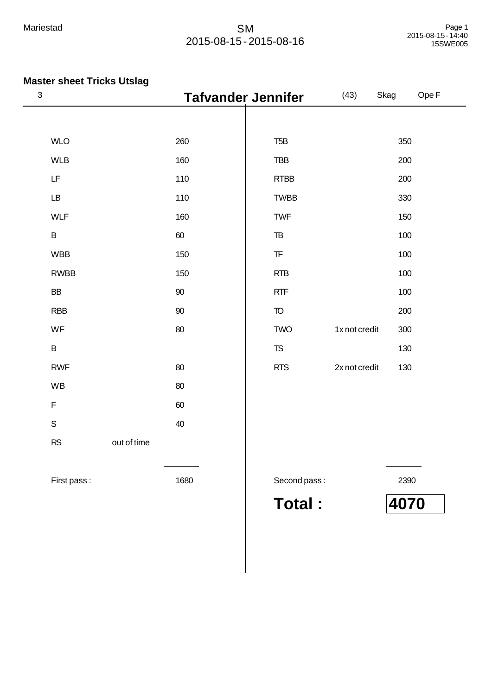## **Master sheet Tricks Utslag**

| $\ensuremath{\mathsf{3}}$ |             |        | <b>Tafvander Jennifer</b>                        | (43)          | Skag | Ope F |
|---------------------------|-------------|--------|--------------------------------------------------|---------------|------|-------|
|                           |             |        |                                                  |               |      |       |
| <b>WLO</b>                |             | 260    | T <sub>5</sub> B                                 |               | 350  |       |
| <b>WLB</b>                |             | 160    | <b>TBB</b>                                       |               | 200  |       |
| LF                        |             | 110    | <b>RTBB</b>                                      |               | 200  |       |
| $\mathsf{L}\mathsf{B}$    |             | 110    | <b>TWBB</b>                                      |               | 330  |       |
| <b>WLF</b>                |             | 160    | <b>TWF</b>                                       |               | 150  |       |
| $\sf B$                   |             | 60     | ${\tt TB}$                                       |               | 100  |       |
| <b>WBB</b>                |             | 150    | $\ensuremath{\mathsf{T}}\ensuremath{\mathsf{F}}$ |               | 100  |       |
| <b>RWBB</b>               |             | 150    | <b>RTB</b>                                       |               | 100  |       |
| <b>BB</b>                 |             | $90\,$ | <b>RTF</b>                                       |               | 100  |       |
| <b>RBB</b>                |             | 90     | $\mathsf{T}\!\mathsf{O}$                         |               | 200  |       |
| WF                        |             | 80     | <b>TWO</b>                                       | 1x not credit | 300  |       |
| $\sf B$                   |             |        | ${\sf TS}$                                       |               | 130  |       |
| <b>RWF</b>                |             | 80     | <b>RTS</b>                                       | 2x not credit | 130  |       |
| WB                        |             | 80     |                                                  |               |      |       |
| $\mathsf F$               |             | 60     |                                                  |               |      |       |
| $\mathsf S$               |             | 40     |                                                  |               |      |       |
| RS                        | out of time |        |                                                  |               |      |       |
|                           |             |        |                                                  |               |      |       |
| First pass:               |             | 1680   | Second pass:                                     |               | 2390 |       |

**Total : 4070**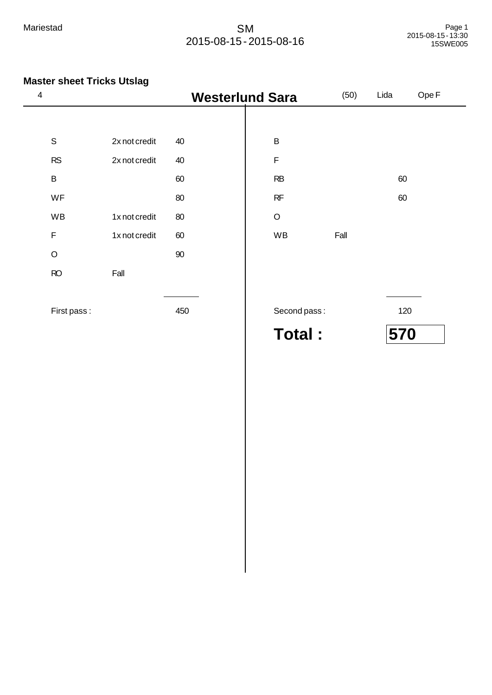| 4           |               |     | <b>Westerlund Sara</b> | (50) | Lida | Ope F |
|-------------|---------------|-----|------------------------|------|------|-------|
|             |               |     |                        |      |      |       |
| $\mathbf S$ | 2x not credit | 40  | $\overline{B}$         |      |      |       |
| <b>RS</b>   | 2x not credit | 40  | $\mathsf F$            |      |      |       |
| B           |               | 60  | RB                     |      | 60   |       |
| WF          |               | 80  | RF                     |      | 60   |       |
| WB          | 1x not credit | 80  | $\circ$                |      |      |       |
| $\mathsf F$ | 1x not credit | 60  | WB                     | Fall |      |       |
| $\circ$     |               | 90  |                        |      |      |       |
| RO          | Fall          |     |                        |      |      |       |
|             |               |     |                        |      |      |       |
| First pass: |               | 450 | Second pass:           |      | 120  |       |
|             |               |     | Total:                 |      | 570  |       |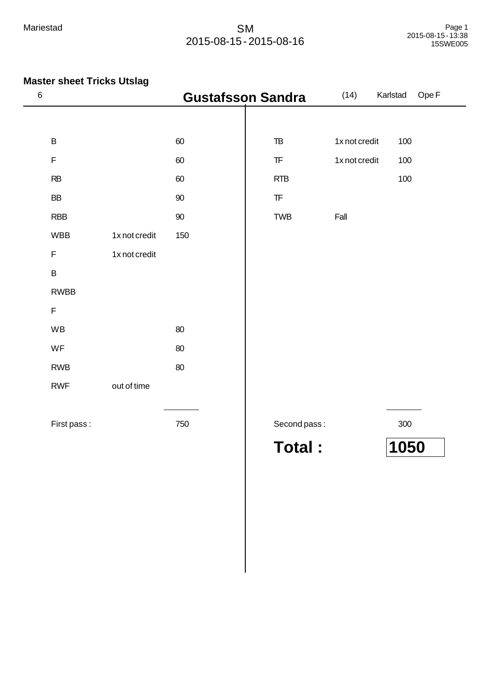| $\,6$       |               | <b>Gustafsson Sandra</b> |                                                  | (14)          | Ope F<br>Karlstad |
|-------------|---------------|--------------------------|--------------------------------------------------|---------------|-------------------|
|             |               |                          |                                                  |               |                   |
| $\sf B$     |               | 60                       | $\mathsf{T}\mathsf{B}$                           | 1x not credit | 100               |
| $\mathsf F$ |               | 60                       | $\ensuremath{\mathsf{T}}\ensuremath{\mathsf{F}}$ | 1x not credit | 100               |
| RB          |               | 60                       | <b>RTB</b>                                       |               | 100               |
| <b>BB</b>   |               | 90                       | $\ensuremath{\mathsf{T}}\ensuremath{\mathsf{F}}$ |               |                   |
| <b>RBB</b>  |               | $90\,$                   | <b>TWB</b>                                       | Fall          |                   |
| <b>WBB</b>  | 1x not credit | 150                      |                                                  |               |                   |
| $\mathsf F$ | 1x not credit |                          |                                                  |               |                   |
| $\sf B$     |               |                          |                                                  |               |                   |
| <b>RWBB</b> |               |                          |                                                  |               |                   |
| F           |               |                          |                                                  |               |                   |
| WB          |               | 80                       |                                                  |               |                   |
| WF          |               | 80                       |                                                  |               |                   |
| <b>RWB</b>  |               | 80                       |                                                  |               |                   |
| <b>RWF</b>  | out of time   |                          |                                                  |               |                   |
|             |               |                          |                                                  |               |                   |
| First pass: |               | 750                      | Second pass:                                     |               | $300\,$           |
|             |               |                          | <b>Total:</b>                                    |               | 1050              |